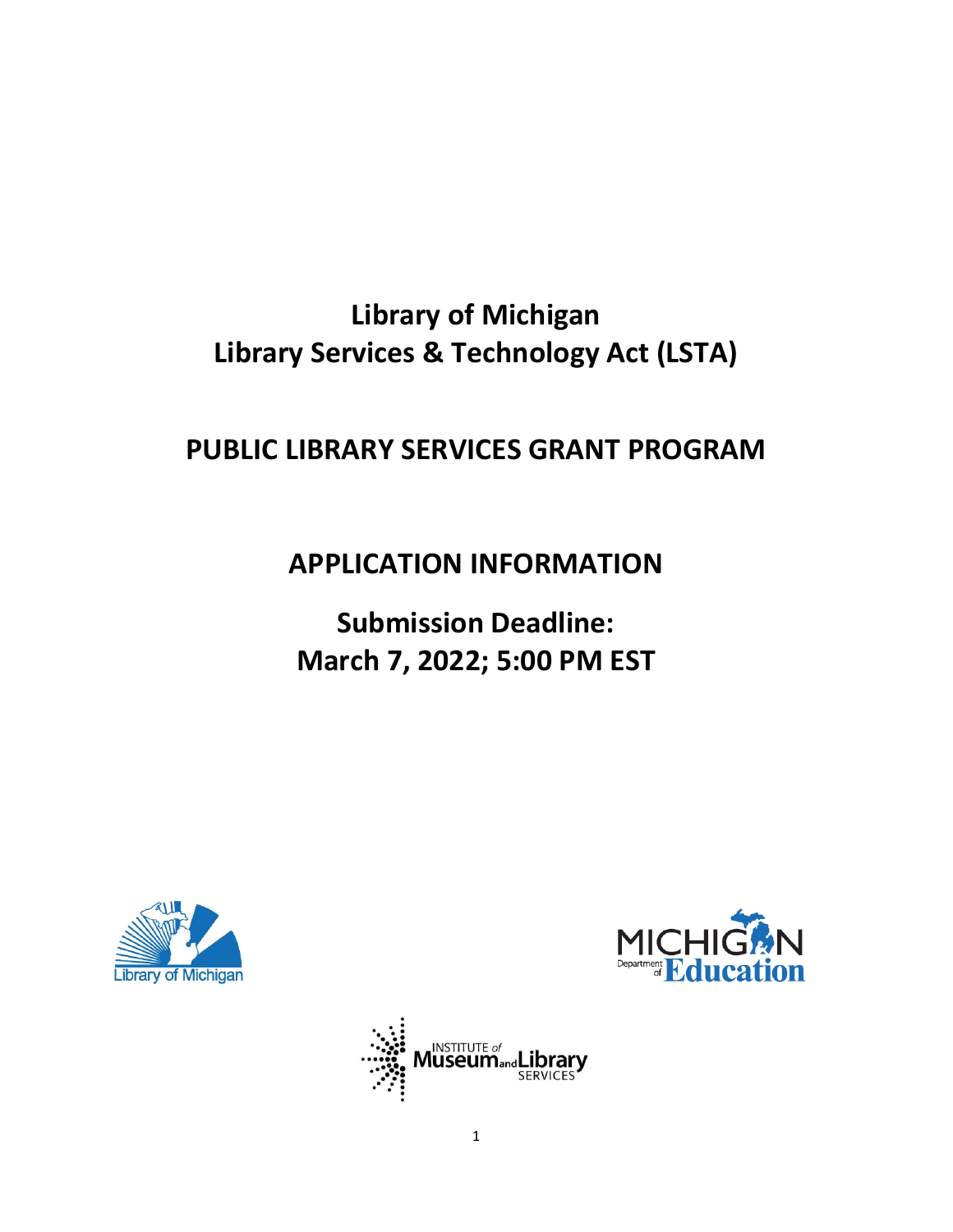# **Library of Michigan Library Services & Technology Act (LSTA)**

## **PUBLIC LIBRARY SERVICES GRANT PROGRAM**

## **APPLICATION INFORMATION**

# **Submission Deadline: March 7, 2022; 5:00 PM EST**





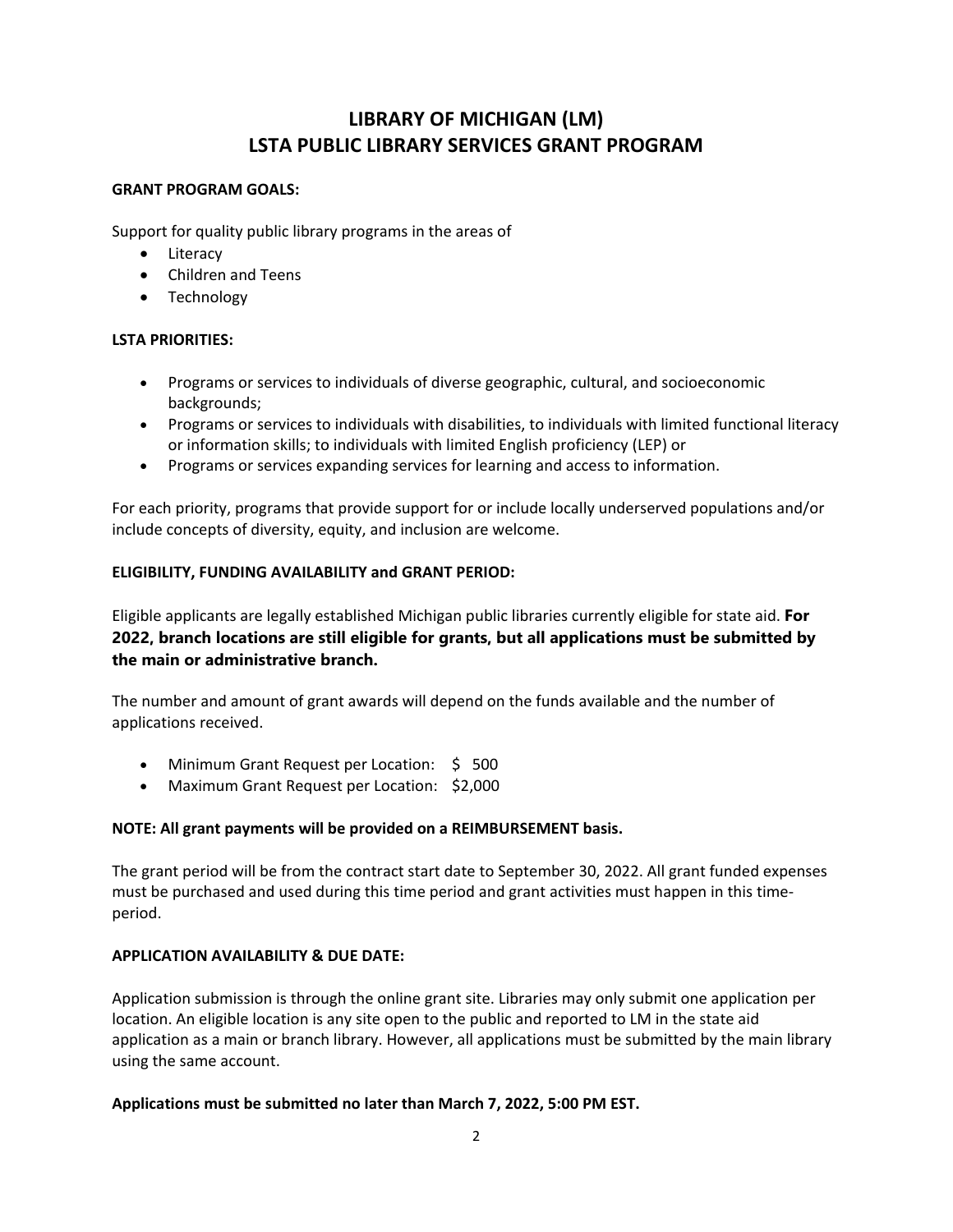## **LIBRARY OF MICHIGAN (LM) LSTA PUBLIC LIBRARY SERVICES GRANT PROGRAM**

#### **GRANT PROGRAM GOALS:**

Support for quality public library programs in the areas of

- Literacy
- Children and Teens
- Technology

#### **LSTA PRIORITIES:**

- Programs or services to individuals of diverse geographic, cultural, and socioeconomic backgrounds;
- Programs or services to individuals with disabilities, to individuals with limited functional literacy or information skills; to individuals with limited English proficiency (LEP) or
- Programs or services expanding services for learning and access to information.

For each priority, programs that provide support for or include locally underserved populations and/or include concepts of diversity, equity, and inclusion are welcome.

#### **ELIGIBILITY, FUNDING AVAILABILITY and GRANT PERIOD:**

Eligible applicants are legally established Michigan public libraries currently eligible for state aid. **For 2022, branch locations are still eligible for grants, but all applications must be submitted by the main or administrative branch.**

The number and amount of grant awards will depend on the funds available and the number of applications received.

- Minimum Grant Request per Location: \$ 500
- Maximum Grant Request per Location: \$2,000

#### **NOTE: All grant payments will be provided on a REIMBURSEMENT basis.**

The grant period will be from the contract start date to September 30, 2022. All grant funded expenses must be purchased and used during this time period and grant activities must happen in this timeperiod.

#### **APPLICATION AVAILABILITY & DUE DATE:**

Application submission is through the online grant site. Libraries may only submit one application per location. An eligible location is any site open to the public and reported to LM in the state aid application as a main or branch library. However, all applications must be submitted by the main library using the same account.

#### **Applications must be submitted no later than March 7, 2022, 5:00 PM EST.**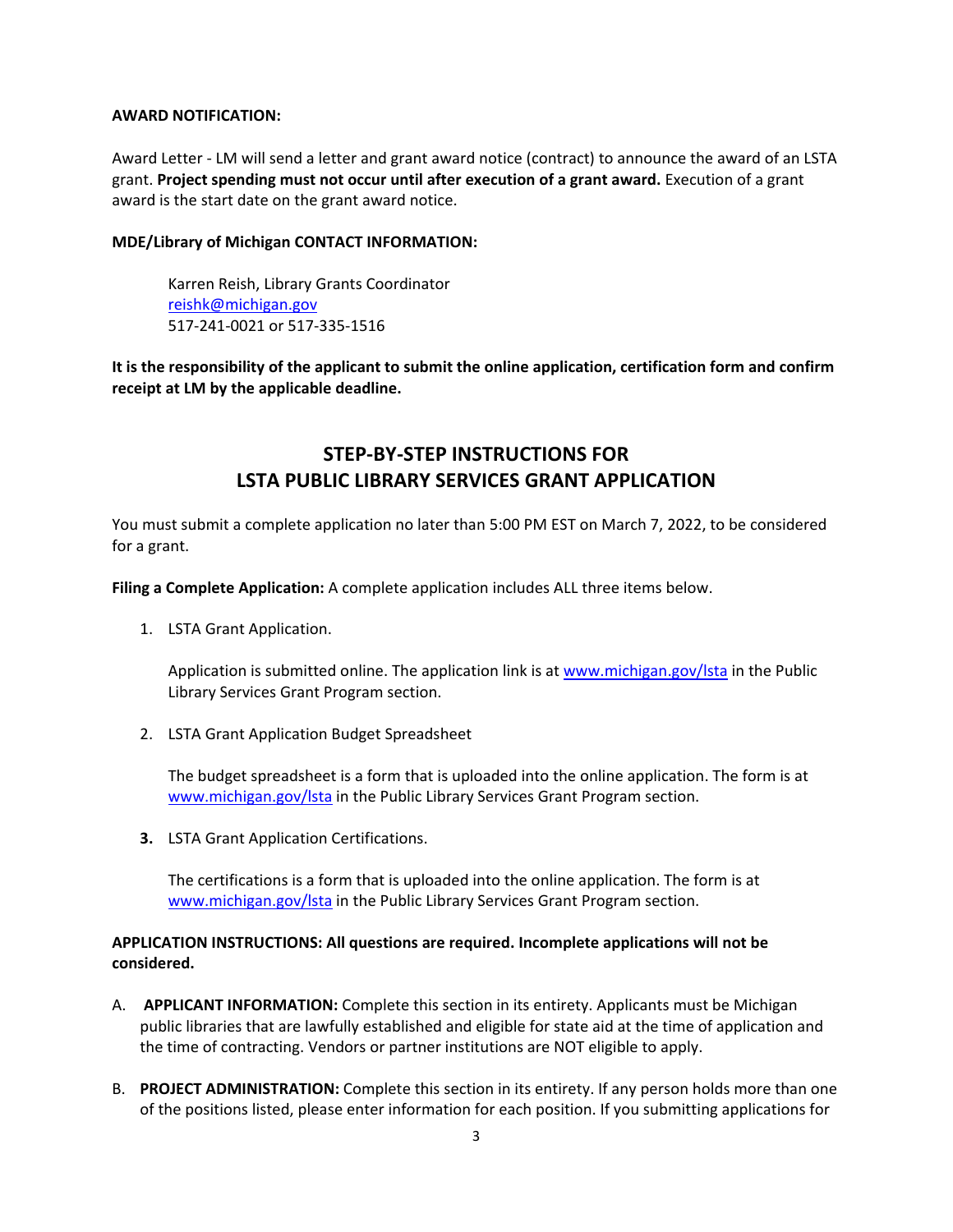#### **AWARD NOTIFICATION:**

Award Letter - LM will send a letter and grant award notice (contract) to announce the award of an LSTA grant. **Project spending must not occur until after execution of a grant award.** Execution of a grant award is the start date on the grant award notice.

#### **MDE/Library of Michigan CONTACT INFORMATION:**

Karren Reish, Library Grants Coordinator [reishk@michigan.gov](mailto:reishk@michigan.gov) 517-241-0021 or 517-335-1516

**It is the responsibility of the applicant to submit the online application, certification form and confirm receipt at LM by the applicable deadline.**

## **STEP-BY-STEP INSTRUCTIONS FOR LSTA PUBLIC LIBRARY SERVICES GRANT APPLICATION**

You must submit a complete application no later than 5:00 PM EST on March 7, 2022, to be considered for a grant.

**Filing a Complete Application:** A complete application includes ALL three items below.

1. LSTA Grant Application.

Application is submitted online. The application link is at www.michigan.gov/Ista in the Public Library Services Grant Program section.

2. LSTA Grant Application Budget Spreadsheet

The budget spreadsheet is a form that is uploaded into the online application. The form is at [www.michigan.gov/lsta](http://www.michigan.gov/lsta) in the Public Library Services Grant Program section.

**3.** LSTA Grant Application Certifications.

The certifications is a form that is uploaded into the online application. The form is at [www.michigan.gov/lsta](http://www.michigan.gov/lsta) in the Public Library Services Grant Program section.

#### **APPLICATION INSTRUCTIONS: All questions are required. Incomplete applications will not be considered.**

- A. **APPLICANT INFORMATION:** Complete this section in its entirety. Applicants must be Michigan public libraries that are lawfully established and eligible for state aid at the time of application and the time of contracting. Vendors or partner institutions are NOT eligible to apply.
- B. **PROJECT ADMINISTRATION:** Complete this section in its entirety. If any person holds more than one of the positions listed, please enter information for each position. If you submitting applications for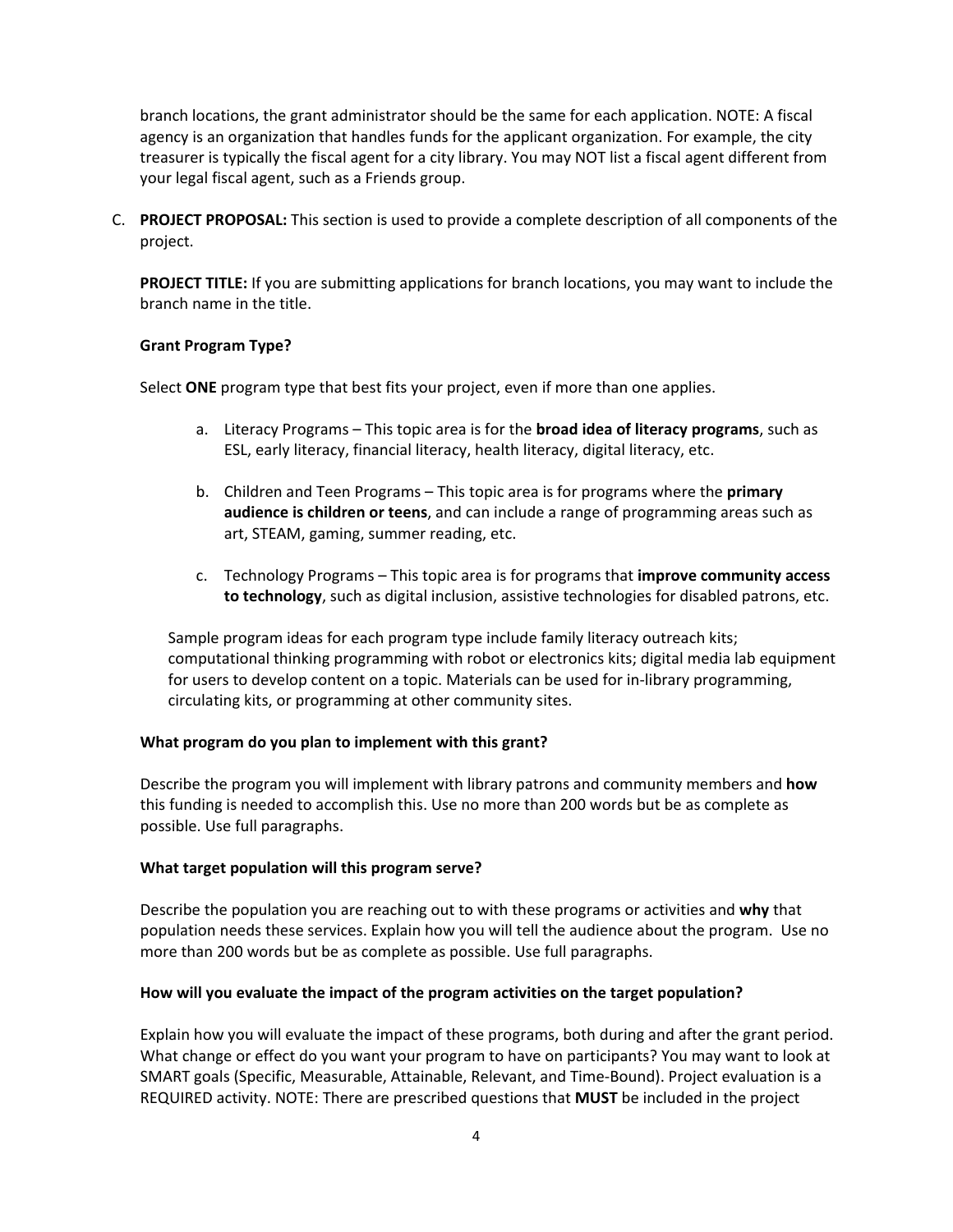branch locations, the grant administrator should be the same for each application. NOTE: A fiscal agency is an organization that handles funds for the applicant organization. For example, the city treasurer is typically the fiscal agent for a city library. You may NOT list a fiscal agent different from your legal fiscal agent, such as a Friends group.

C. **PROJECT PROPOSAL:** This section is used to provide a complete description of all components of the project.

**PROJECT TITLE:** If you are submitting applications for branch locations, you may want to include the branch name in the title.

#### **Grant Program Type?**

Select **ONE** program type that best fits your project, even if more than one applies.

- a. Literacy Programs This topic area is for the **broad idea of literacy programs**, such as ESL, early literacy, financial literacy, health literacy, digital literacy, etc.
- b. Children and Teen Programs This topic area is for programs where the **primary audience is children or teens**, and can include a range of programming areas such as art, STEAM, gaming, summer reading, etc.
- c. Technology Programs This topic area is for programs that **improve community access to technology**, such as digital inclusion, assistive technologies for disabled patrons, etc.

Sample program ideas for each program type include family literacy outreach kits; computational thinking programming with robot or electronics kits; digital media lab equipment for users to develop content on a topic. Materials can be used for in-library programming, circulating kits, or programming at other community sites.

#### **What program do you plan to implement with this grant?**

Describe the program you will implement with library patrons and community members and **how** this funding is needed to accomplish this. Use no more than 200 words but be as complete as possible. Use full paragraphs.

#### **What target population will this program serve?**

Describe the population you are reaching out to with these programs or activities and **why** that population needs these services. Explain how you will tell the audience about the program. Use no more than 200 words but be as complete as possible. Use full paragraphs.

#### **How will you evaluate the impact of the program activities on the target population?**

Explain how you will evaluate the impact of these programs, both during and after the grant period. What change or effect do you want your program to have on participants? You may want to look at SMART goals (Specific, Measurable, Attainable, Relevant, and Time-Bound). Project evaluation is a REQUIRED activity. NOTE: There are prescribed questions that **MUST** be included in the project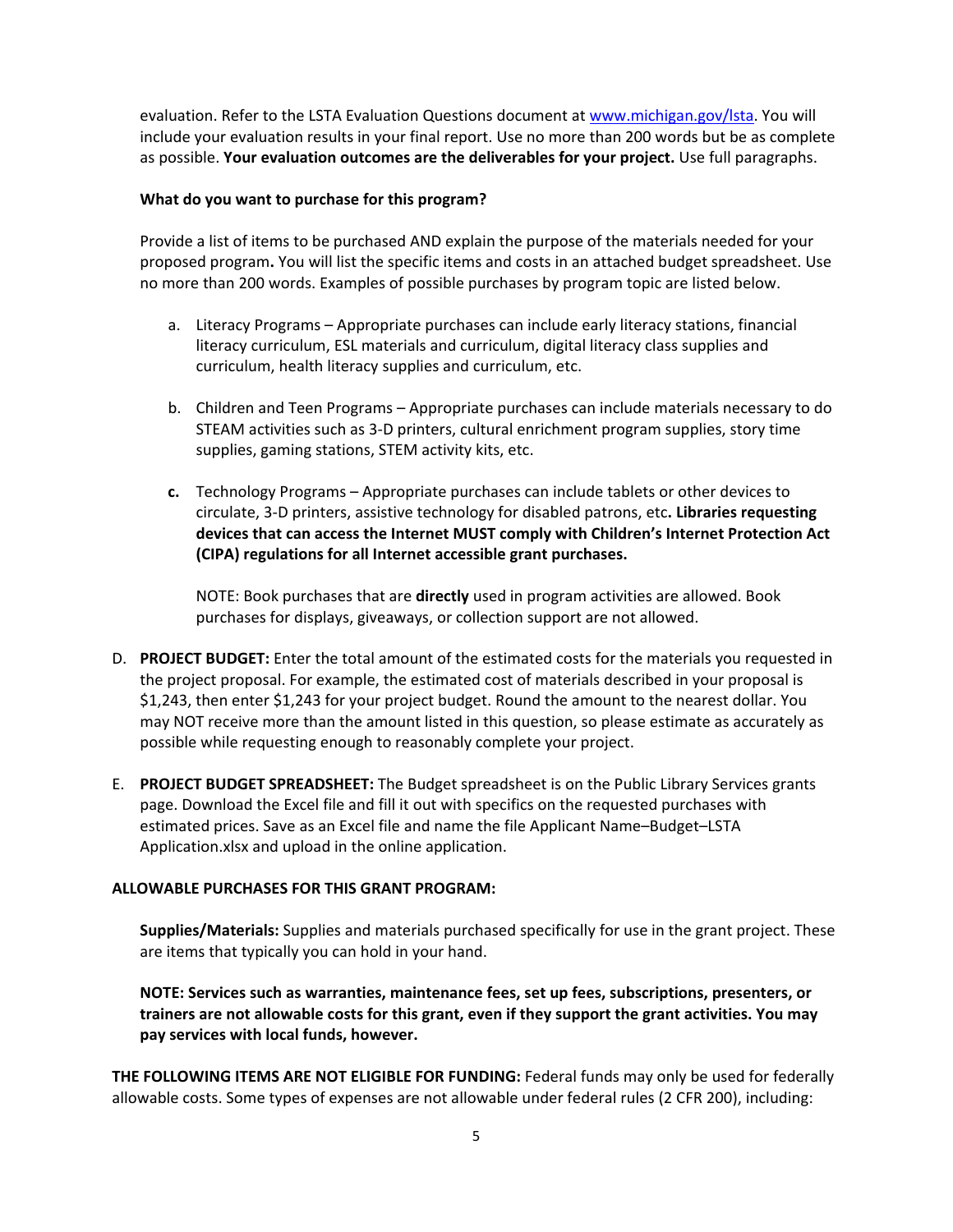evaluation. Refer to the LSTA Evaluation Questions document at www.michigan.gov/Ista. You will include your evaluation results in your final report. Use no more than 200 words but be as complete as possible. **Your evaluation outcomes are the deliverables for your project.** Use full paragraphs.

#### **What do you want to purchase for this program?**

Provide a list of items to be purchased AND explain the purpose of the materials needed for your proposed program**.** You will list the specific items and costs in an attached budget spreadsheet. Use no more than 200 words. Examples of possible purchases by program topic are listed below.

- a. Literacy Programs Appropriate purchases can include early literacy stations, financial literacy curriculum, ESL materials and curriculum, digital literacy class supplies and curriculum, health literacy supplies and curriculum, etc.
- b. Children and Teen Programs Appropriate purchases can include materials necessary to do STEAM activities such as 3-D printers, cultural enrichment program supplies, story time supplies, gaming stations, STEM activity kits, etc.
- **c.** Technology Programs Appropriate purchases can include tablets or other devices to circulate, 3-D printers, assistive technology for disabled patrons, etc**. Libraries requesting devices that can access the Internet MUST comply with Children's Internet Protection Act (CIPA) regulations for all Internet accessible grant purchases.**

NOTE: Book purchases that are **directly** used in program activities are allowed. Book purchases for displays, giveaways, or collection support are not allowed.

- D. **PROJECT BUDGET:** Enter the total amount of the estimated costs for the materials you requested in the project proposal. For example, the estimated cost of materials described in your proposal is \$1,243, then enter \$1,243 for your project budget. Round the amount to the nearest dollar. You may NOT receive more than the amount listed in this question, so please estimate as accurately as possible while requesting enough to reasonably complete your project.
- E. **PROJECT BUDGET SPREADSHEET:** The Budget spreadsheet is on the Public Library Services grants page. Download the Excel file and fill it out with specifics on the requested purchases with estimated prices. Save as an Excel file and name the file Applicant Name–Budget–LSTA Application.xlsx and upload in the online application.

#### **ALLOWABLE PURCHASES FOR THIS GRANT PROGRAM:**

**Supplies/Materials:** Supplies and materials purchased specifically for use in the grant project. These are items that typically you can hold in your hand.

**NOTE: Services such as warranties, maintenance fees, set up fees, subscriptions, presenters, or trainers are not allowable costs for this grant, even if they support the grant activities. You may pay services with local funds, however.** 

**THE FOLLOWING ITEMS ARE NOT ELIGIBLE FOR FUNDING:** Federal funds may only be used for federally allowable costs. Some types of expenses are not allowable under federal rules (2 CFR 200), including: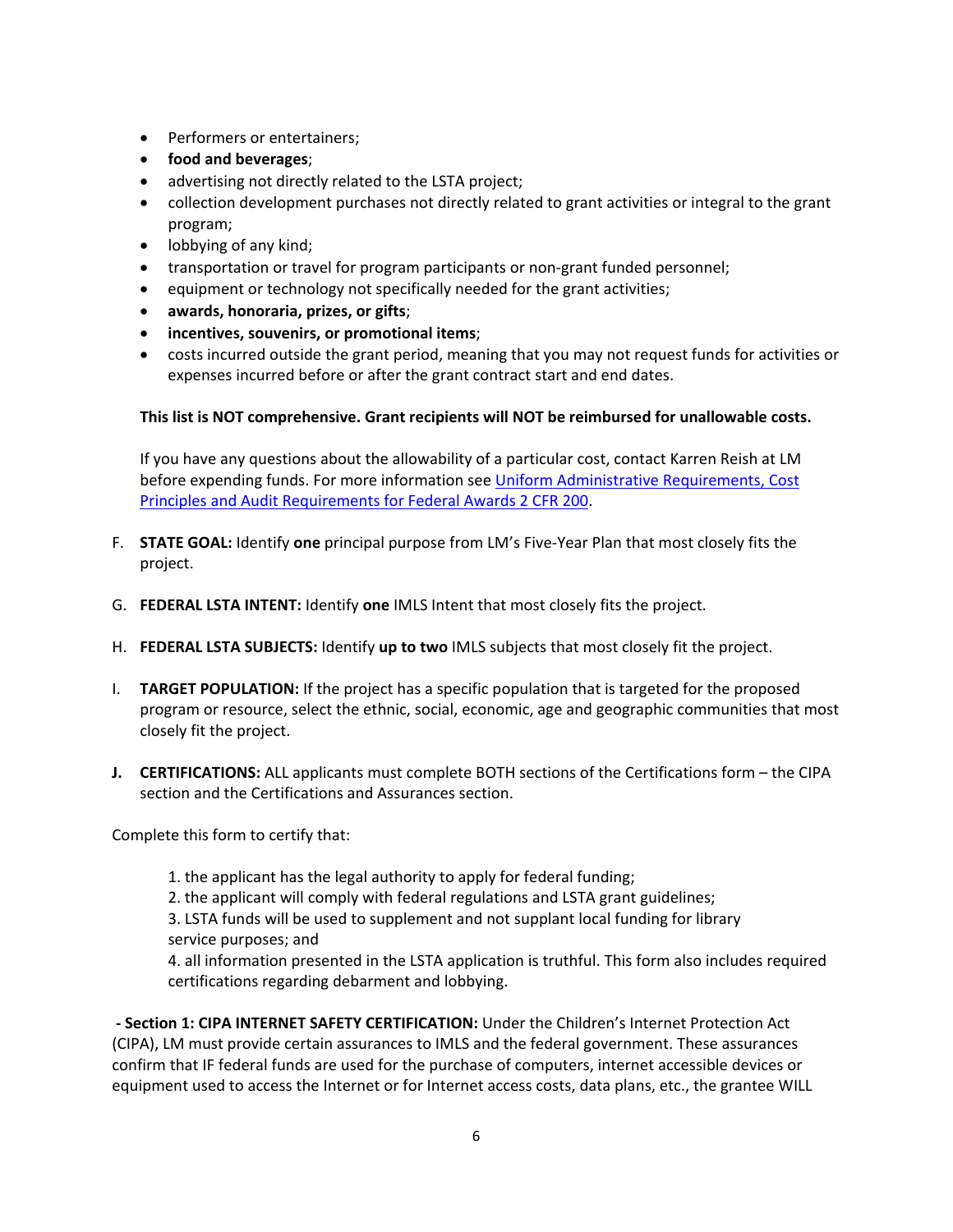- Performers or entertainers;
- **food and beverages**;
- advertising not directly related to the LSTA project;
- collection development purchases not directly related to grant activities or integral to the grant program;
- lobbying of any kind;
- transportation or travel for program participants or non-grant funded personnel;
- equipment or technology not specifically needed for the grant activities;
- **awards, honoraria, prizes, or gifts**;
- **incentives, souvenirs, or promotional items**;
- costs incurred outside the grant period, meaning that you may not request funds for activities or expenses incurred before or after the grant contract start and end dates.

#### **This list is NOT comprehensive. Grant recipients will NOT be reimbursed for unallowable costs.**

If you have any questions about the allowability of a particular cost, contact Karren Reish at LM before expending funds. For more information see [Uniform Administrative Requirements, Cost](http://www.ecfr.gov/cgi-bin/text-idx?tpl=/ecfrbrowse/Title02/2cfr200_main_02.tpl)  [Principles and Audit Requirements for Federal Awards 2 CFR 200.](http://www.ecfr.gov/cgi-bin/text-idx?tpl=/ecfrbrowse/Title02/2cfr200_main_02.tpl) 

- F. **STATE GOAL:** Identify **one** principal purpose from LM's Five-Year Plan that most closely fits the project.
- G. **FEDERAL LSTA INTENT:** Identify **one** IMLS Intent that most closely fits the project.
- H. **FEDERAL LSTA SUBJECTS:** Identify **up to two** IMLS subjects that most closely fit the project.
- I. **TARGET POPULATION:** If the project has a specific population that is targeted for the proposed program or resource, select the ethnic, social, economic, age and geographic communities that most closely fit the project.
- **J. CERTIFICATIONS:** ALL applicants must complete BOTH sections of the Certifications form the CIPA section and the Certifications and Assurances section.

Complete this form to certify that:

- 1. the applicant has the legal authority to apply for federal funding;
- 2. the applicant will comply with federal regulations and LSTA grant guidelines;
- 3. LSTA funds will be used to supplement and not supplant local funding for library service purposes; and

4. all information presented in the LSTA application is truthful. This form also includes required certifications regarding debarment and lobbying.

**- Section 1: CIPA INTERNET SAFETY CERTIFICATION:** Under the Children's Internet Protection Act (CIPA), LM must provide certain assurances to IMLS and the federal government. These assurances confirm that IF federal funds are used for the purchase of computers, internet accessible devices or equipment used to access the Internet or for Internet access costs, data plans, etc., the grantee WILL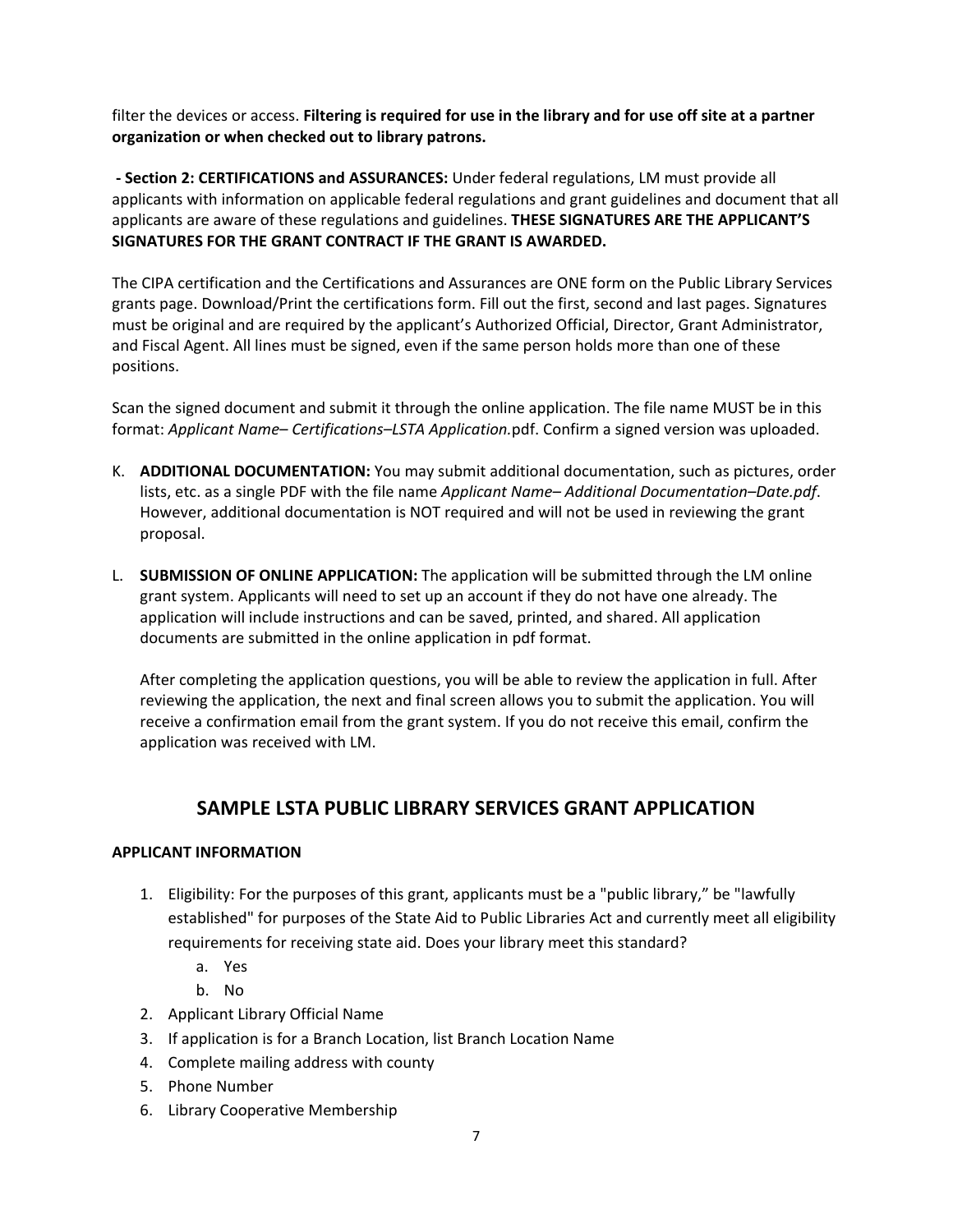filter the devices or access. **Filtering is required for use in the library and for use off site at a partner organization or when checked out to library patrons.** 

**- Section 2: CERTIFICATIONS and ASSURANCES:** Under federal regulations, LM must provide all applicants with information on applicable federal regulations and grant guidelines and document that all applicants are aware of these regulations and guidelines. **THESE SIGNATURES ARE THE APPLICANT'S SIGNATURES FOR THE GRANT CONTRACT IF THE GRANT IS AWARDED.**

The CIPA certification and the Certifications and Assurances are ONE form on the Public Library Services grants page. Download/Print the certifications form. Fill out the first, second and last pages. Signatures must be original and are required by the applicant's Authorized Official, Director, Grant Administrator, and Fiscal Agent. All lines must be signed, even if the same person holds more than one of these positions.

Scan the signed document and submit it through the online application. The file name MUST be in this format: *Applicant Name– Certifications–LSTA Application.*pdf. Confirm a signed version was uploaded.

- K. **ADDITIONAL DOCUMENTATION:** You may submit additional documentation, such as pictures, order lists, etc. as a single PDF with the file name *Applicant Name– Additional Documentation–Date.pdf*. However, additional documentation is NOT required and will not be used in reviewing the grant proposal.
- L. **SUBMISSION OF ONLINE APPLICATION:** The application will be submitted through the LM online grant system. Applicants will need to set up an account if they do not have one already. The application will include instructions and can be saved, printed, and shared. All application documents are submitted in the online application in pdf format.

After completing the application questions, you will be able to review the application in full. After reviewing the application, the next and final screen allows you to submit the application. You will receive a confirmation email from the grant system. If you do not receive this email, confirm the application was received with LM.

### **SAMPLE LSTA PUBLIC LIBRARY SERVICES GRANT APPLICATION**

#### **APPLICANT INFORMATION**

- 1. Eligibility: For the purposes of this grant, applicants must be a "public library," be "lawfully established" for purposes of the State Aid to Public Libraries Act and currently meet all eligibility requirements for receiving state aid. Does your library meet this standard?
	- a. Yes
	- b. No
- 2. Applicant Library Official Name
- 3. If application is for a Branch Location, list Branch Location Name
- 4. Complete mailing address with county
- 5. Phone Number
- 6. Library Cooperative Membership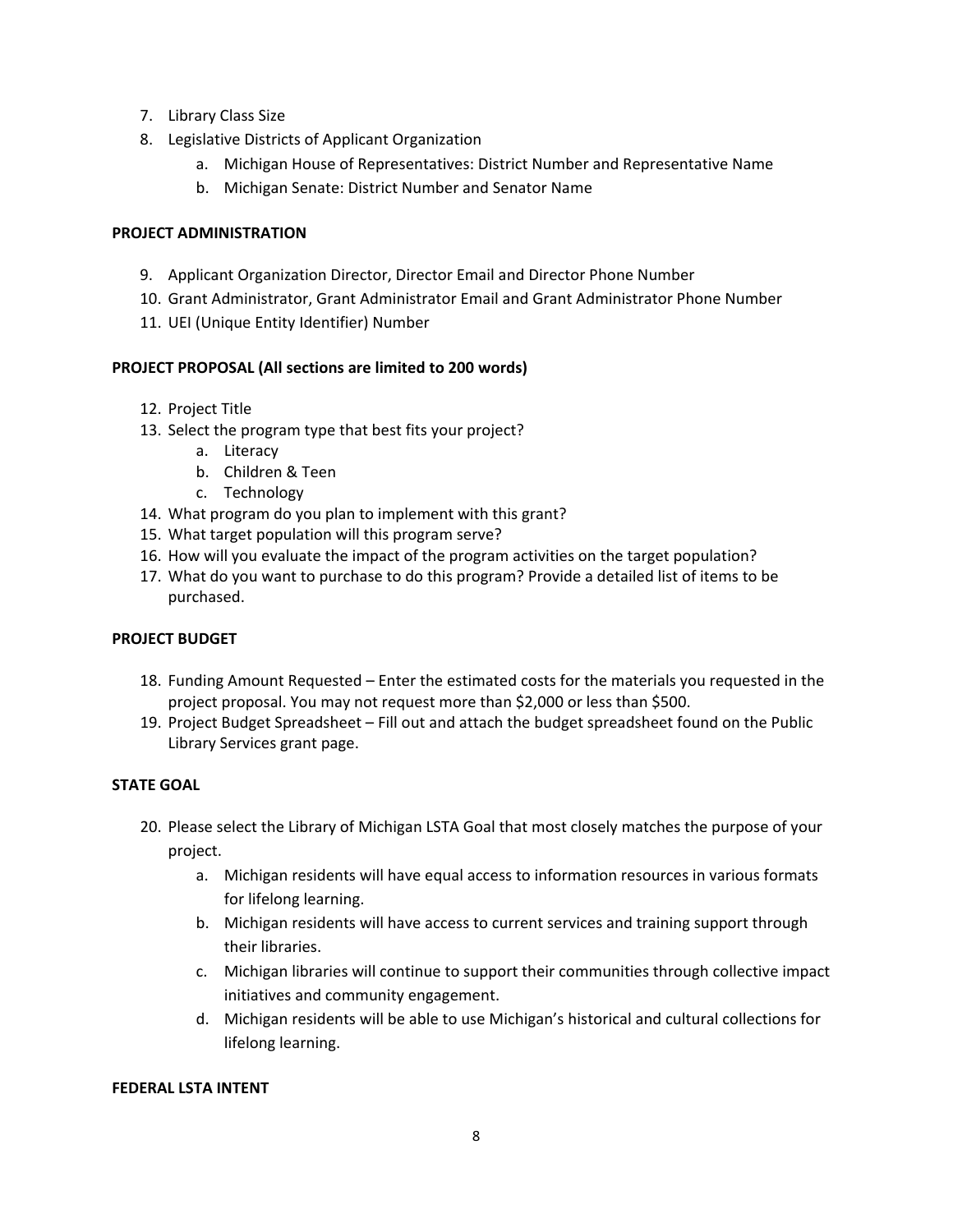- 7. Library Class Size
- 8. Legislative Districts of Applicant Organization
	- a. Michigan House of Representatives: District Number and Representative Name
	- b. Michigan Senate: District Number and Senator Name

#### **PROJECT ADMINISTRATION**

- 9. Applicant Organization Director, Director Email and Director Phone Number
- 10. Grant Administrator, Grant Administrator Email and Grant Administrator Phone Number
- 11. UEI (Unique Entity Identifier) Number

#### **PROJECT PROPOSAL (All sections are limited to 200 words)**

- 12. Project Title
- 13. Select the program type that best fits your project?
	- a. Literacy
	- b. Children & Teen
	- c. Technology
- 14. What program do you plan to implement with this grant?
- 15. What target population will this program serve?
- 16. How will you evaluate the impact of the program activities on the target population?
- 17. What do you want to purchase to do this program? Provide a detailed list of items to be purchased.

#### **PROJECT BUDGET**

- 18. Funding Amount Requested Enter the estimated costs for the materials you requested in the project proposal. You may not request more than \$2,000 or less than \$500.
- 19. Project Budget Spreadsheet Fill out and attach the budget spreadsheet found on the Public Library Services grant page.

#### **STATE GOAL**

- 20. Please select the Library of Michigan LSTA Goal that most closely matches the purpose of your project.
	- a. Michigan residents will have equal access to information resources in various formats for lifelong learning.
	- b. Michigan residents will have access to current services and training support through their libraries.
	- c. Michigan libraries will continue to support their communities through collective impact initiatives and community engagement.
	- d. Michigan residents will be able to use Michigan's historical and cultural collections for lifelong learning.

#### **FEDERAL LSTA INTENT**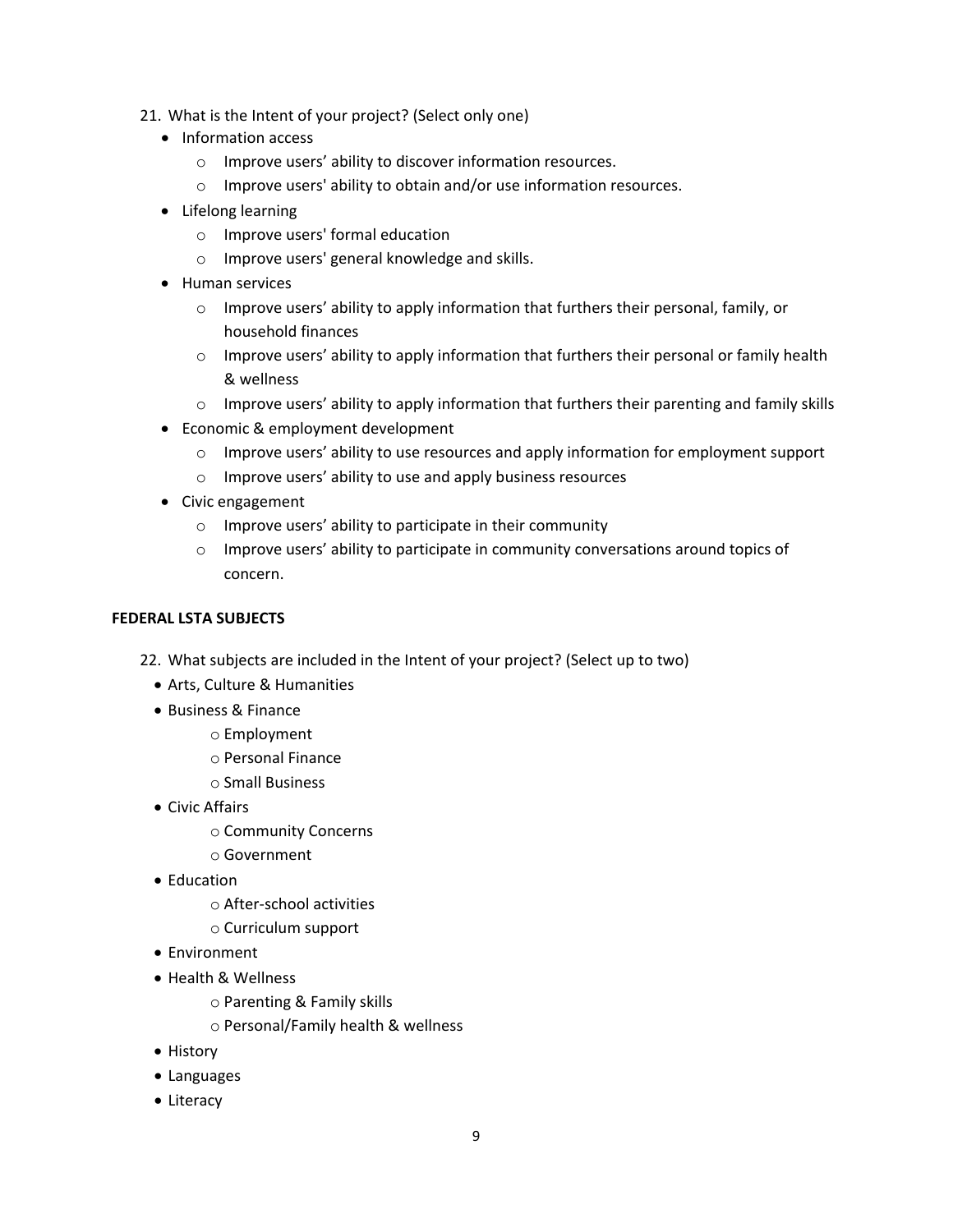- 21. What is the Intent of your project? (Select only one)
	- Information access
		- o Improve users' ability to discover information resources.
		- o Improve users' ability to obtain and/or use information resources.
	- Lifelong learning
		- o Improve users' formal education
		- o Improve users' general knowledge and skills.
	- Human services
		- $\circ$  Improve users' ability to apply information that furthers their personal, family, or household finances
		- o Improve users' ability to apply information that furthers their personal or family health & wellness
		- $\circ$  Improve users' ability to apply information that furthers their parenting and family skills
	- Economic & employment development
		- o Improve users' ability to use resources and apply information for employment support
		- o Improve users' ability to use and apply business resources
	- Civic engagement
		- o Improve users' ability to participate in their community
		- $\circ$  Improve users' ability to participate in community conversations around topics of concern.

#### **FEDERAL LSTA SUBJECTS**

- 22. What subjects are included in the Intent of your project? (Select up to two)
	- Arts, Culture & Humanities
	- Business & Finance
		- o Employment
		- o Personal Finance
		- o Small Business
	- Civic Affairs
		- o Community Concerns
		- o Government
	- Education
		- o After-school activities
		- o Curriculum support
	- Environment
	- Health & Wellness
		- o Parenting & Family skills
		- o Personal/Family health & wellness
	- History
	- Languages
	- Literacy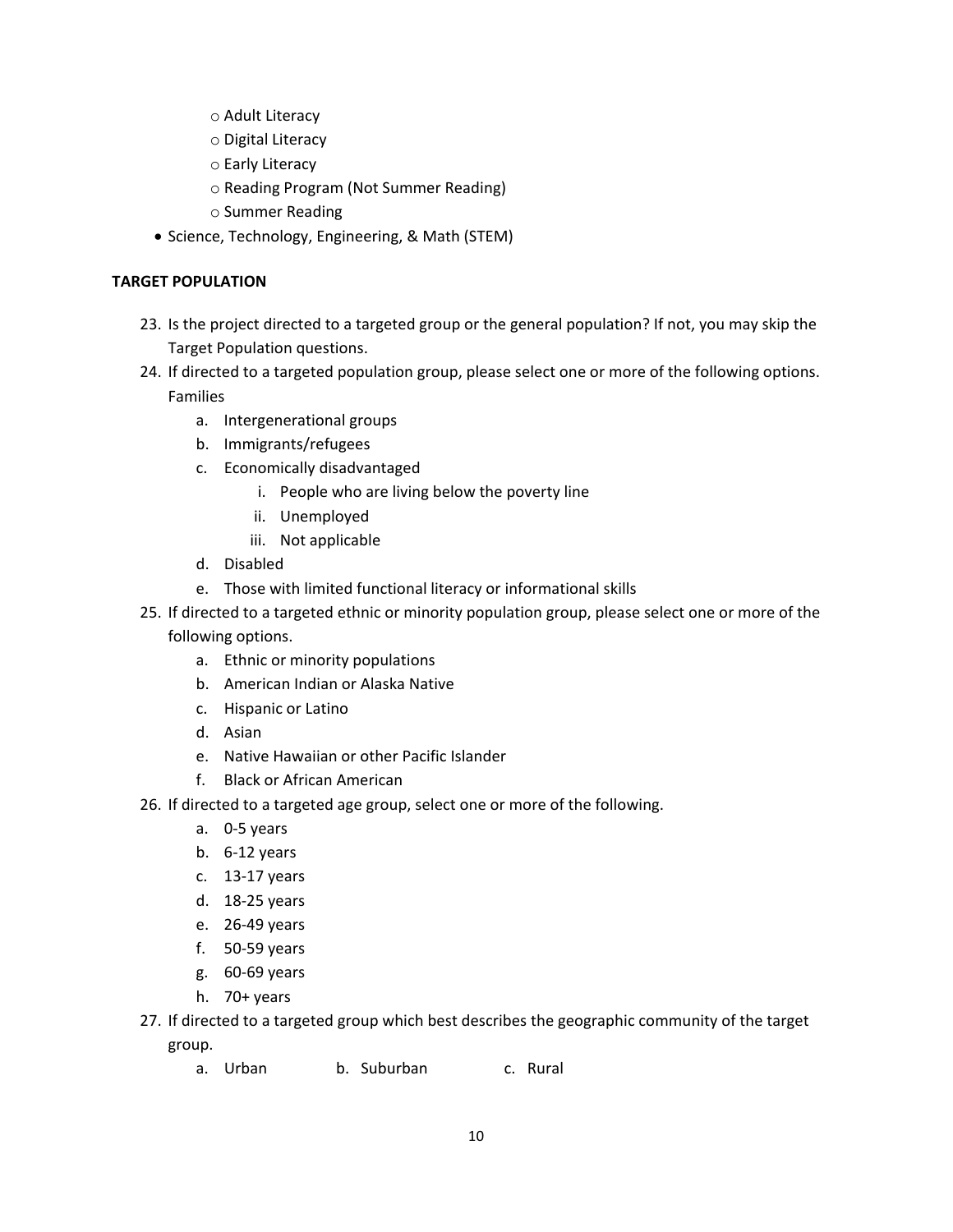- o Adult Literacy
- o Digital Literacy
- o Early Literacy
- o Reading Program (Not Summer Reading)
- o Summer Reading
- Science, Technology, Engineering, & Math (STEM)

#### **TARGET POPULATION**

- 23. Is the project directed to a targeted group or the general population? If not, you may skip the Target Population questions.
- 24. If directed to a targeted population group, please select one or more of the following options. Families
	- a. Intergenerational groups
	- b. Immigrants/refugees
	- c. Economically disadvantaged
		- i. People who are living below the poverty line
		- ii. Unemployed
		- iii. Not applicable
	- d. Disabled
	- e. Those with limited functional literacy or informational skills
- 25. If directed to a targeted ethnic or minority population group, please select one or more of the following options.
	- a. Ethnic or minority populations
	- b. American Indian or Alaska Native
	- c. Hispanic or Latino
	- d. Asian
	- e. Native Hawaiian or other Pacific Islander
	- f. Black or African American
- 26. If directed to a targeted age group, select one or more of the following.
	- a. 0-5 years
	- b. 6-12 years
	- c. 13-17 years
	- d. 18-25 years
	- e. 26-49 years
	- f. 50-59 years
	- g. 60-69 years
	- h. 70+ years
- 27. If directed to a targeted group which best describes the geographic community of the target group.
	- a. Urban b. Suburban c. Rural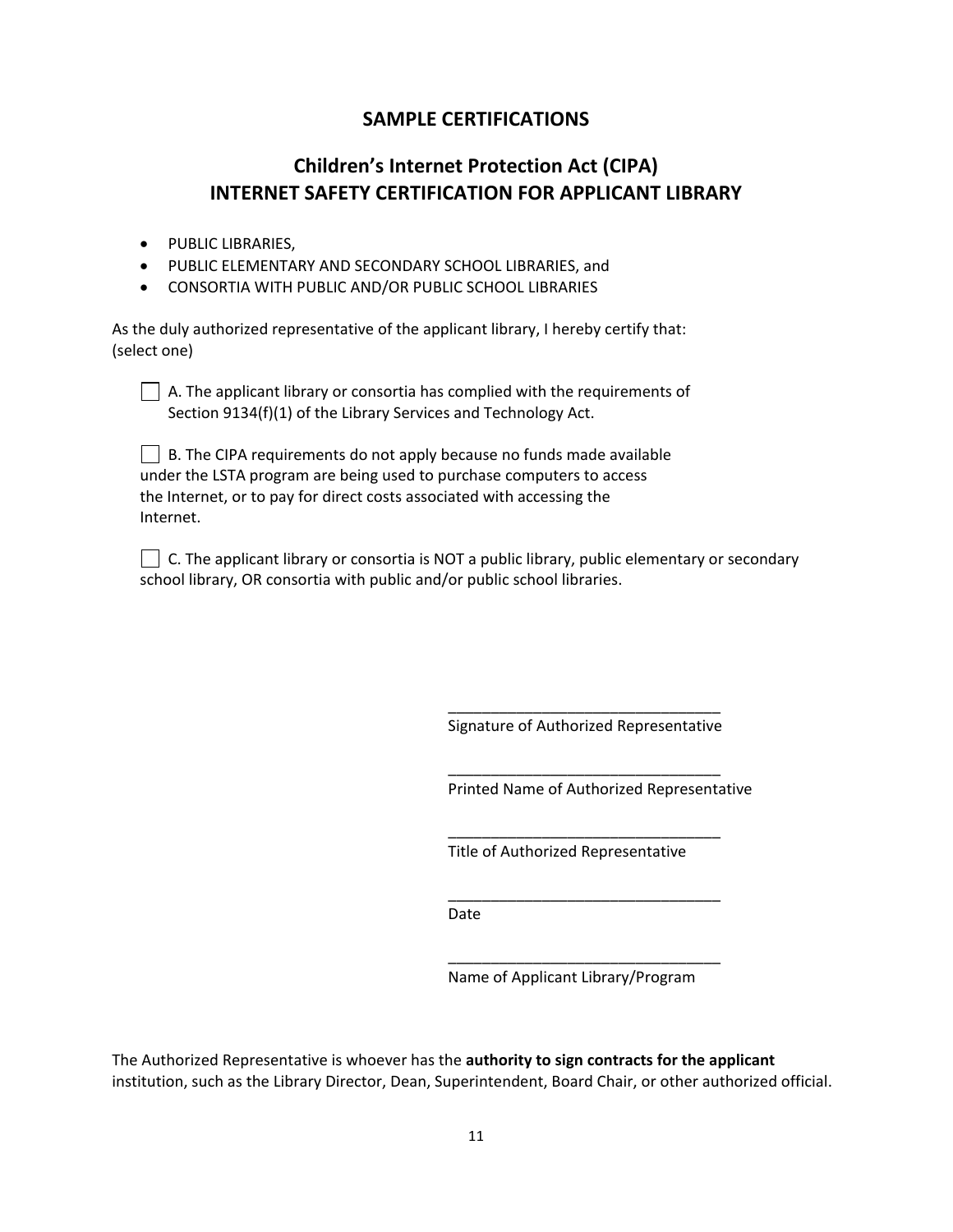### **SAMPLE CERTIFICATIONS**

## **Children's Internet Protection Act (CIPA) INTERNET SAFETY CERTIFICATION FOR APPLICANT LIBRARY**

- PUBLIC LIBRARIES,
- PUBLIC ELEMENTARY AND SECONDARY SCHOOL LIBRARIES, and
- CONSORTIA WITH PUBLIC AND/OR PUBLIC SCHOOL LIBRARIES

As the duly authorized representative of the applicant library, I hereby certify that: (select one)

 $\Box$  A. The applicant library or consortia has complied with the requirements of Section 9134(f)(1) of the Library Services and Technology Act.

| $\Box$ B. The CIPA requirements do not apply because no funds made available |
|------------------------------------------------------------------------------|
| under the LSTA program are being used to purchase computers to access        |
| the Internet, or to pay for direct costs associated with accessing the       |
| Internet.                                                                    |

 $\Box$  C. The applicant library or consortia is NOT a public library, public elementary or secondary school library, OR consortia with public and/or public school libraries.

> \_\_\_\_\_\_\_\_\_\_\_\_\_\_\_\_\_\_\_\_\_\_\_\_\_\_\_\_\_\_\_\_ Signature of Authorized Representative

\_\_\_\_\_\_\_\_\_\_\_\_\_\_\_\_\_\_\_\_\_\_\_\_\_\_\_\_\_\_\_\_

\_\_\_\_\_\_\_\_\_\_\_\_\_\_\_\_\_\_\_\_\_\_\_\_\_\_\_\_\_\_\_\_

\_\_\_\_\_\_\_\_\_\_\_\_\_\_\_\_\_\_\_\_\_\_\_\_\_\_\_\_\_\_\_\_

\_\_\_\_\_\_\_\_\_\_\_\_\_\_\_\_\_\_\_\_\_\_\_\_\_\_\_\_\_\_\_\_

Printed Name of Authorized Representative

Title of Authorized Representative

Date

Name of Applicant Library/Program

The Authorized Representative is whoever has the **authority to sign contracts for the applicant** institution, such as the Library Director, Dean, Superintendent, Board Chair, or other authorized official.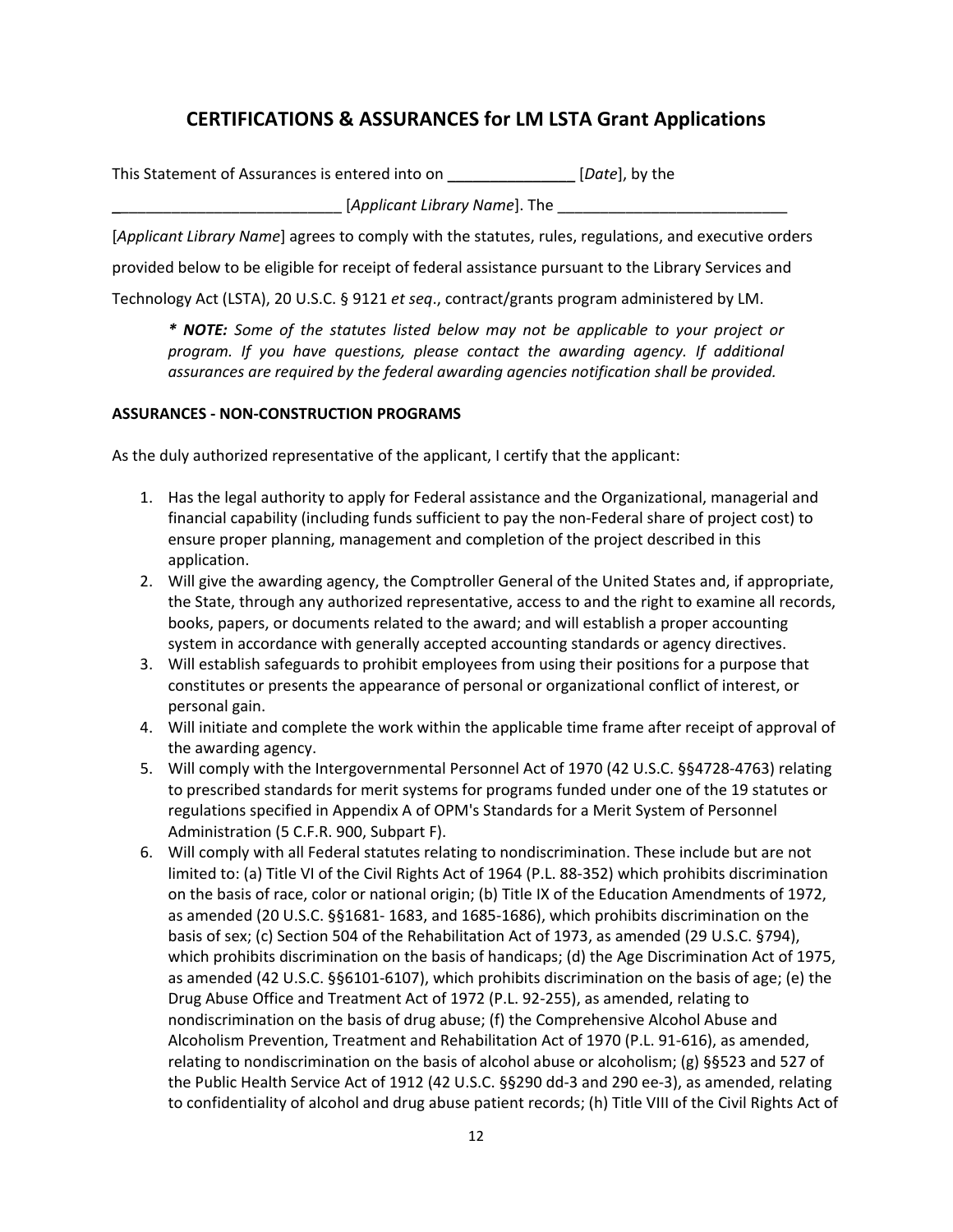## **CERTIFICATIONS & ASSURANCES for LM LSTA Grant Applications**

| This Statement of Assurances is entered into on | [ <i>Date</i> ], by the |
|-------------------------------------------------|-------------------------|
| [Applicant Library Name]. The                   |                         |

[*Applicant Library Name*] agrees to comply with the statutes, rules, regulations, and executive orders

provided below to be eligible for receipt of federal assistance pursuant to the Library Services and

Technology Act (LSTA), 20 U.S.C. § 9121 *et seq*., contract/grants program administered by LM.

*\* NOTE: Some of the statutes listed below may not be applicable to your project or program. If you have questions, please contact the awarding agency. If additional assurances are required by the federal awarding agencies notification shall be provided.*

#### **ASSURANCES - NON-CONSTRUCTION PROGRAMS**

As the duly authorized representative of the applicant, I certify that the applicant:

- 1. Has the legal authority to apply for Federal assistance and the Organizational, managerial and financial capability (including funds sufficient to pay the non-Federal share of project cost) to ensure proper planning, management and completion of the project described in this application.
- 2. Will give the awarding agency, the Comptroller General of the United States and, if appropriate, the State, through any authorized representative, access to and the right to examine all records, books, papers, or documents related to the award; and will establish a proper accounting system in accordance with generally accepted accounting standards or agency directives.
- 3. Will establish safeguards to prohibit employees from using their positions for a purpose that constitutes or presents the appearance of personal or organizational conflict of interest, or personal gain.
- 4. Will initiate and complete the work within the applicable time frame after receipt of approval of the awarding agency.
- 5. Will comply with the Intergovernmental Personnel Act of 1970 (42 U.S.C. §§4728-4763) relating to prescribed standards for merit systems for programs funded under one of the 19 statutes or regulations specified in Appendix A of OPM's Standards for a Merit System of Personnel Administration (5 C.F.R. 900, Subpart F).
- 6. Will comply with all Federal statutes relating to nondiscrimination. These include but are not limited to: (a) Title VI of the Civil Rights Act of 1964 (P.L. 88-352) which prohibits discrimination on the basis of race, color or national origin; (b) Title IX of the Education Amendments of 1972, as amended (20 U.S.C. §§1681- 1683, and 1685-1686), which prohibits discrimination on the basis of sex; (c) Section 504 of the Rehabilitation Act of 1973, as amended (29 U.S.C. §794), which prohibits discrimination on the basis of handicaps; (d) the Age Discrimination Act of 1975, as amended (42 U.S.C. §§6101-6107), which prohibits discrimination on the basis of age; (e) the Drug Abuse Office and Treatment Act of 1972 (P.L. 92-255), as amended, relating to nondiscrimination on the basis of drug abuse; (f) the Comprehensive Alcohol Abuse and Alcoholism Prevention, Treatment and Rehabilitation Act of 1970 (P.L. 91-616), as amended, relating to nondiscrimination on the basis of alcohol abuse or alcoholism; (g) §§523 and 527 of the Public Health Service Act of 1912 (42 U.S.C. §§290 dd-3 and 290 ee-3), as amended, relating to confidentiality of alcohol and drug abuse patient records; (h) Title VIII of the Civil Rights Act of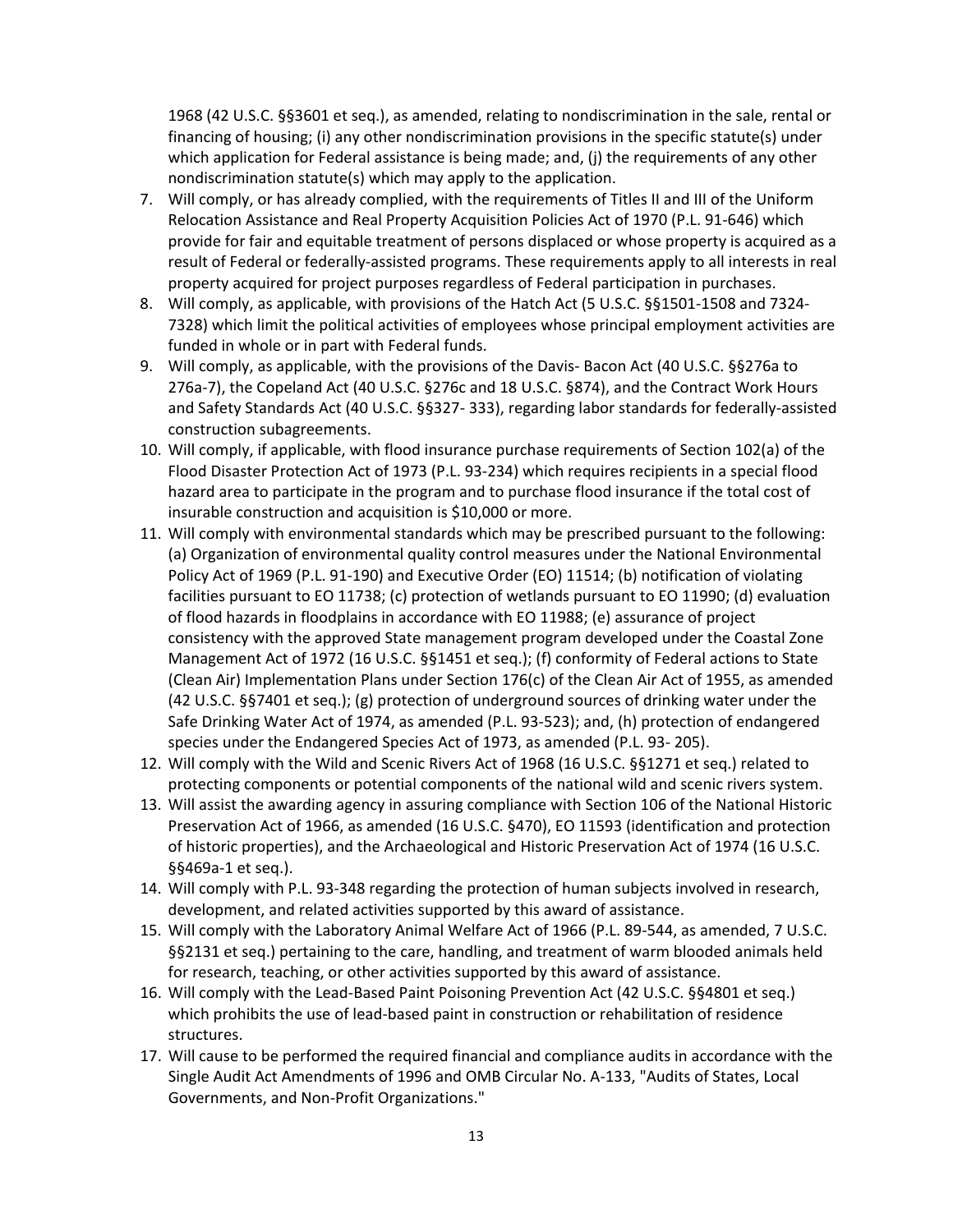1968 (42 U.S.C. §§3601 et seq.), as amended, relating to nondiscrimination in the sale, rental or financing of housing; (i) any other nondiscrimination provisions in the specific statute(s) under which application for Federal assistance is being made; and, (j) the requirements of any other nondiscrimination statute(s) which may apply to the application.

- 7. Will comply, or has already complied, with the requirements of Titles II and III of the Uniform Relocation Assistance and Real Property Acquisition Policies Act of 1970 (P.L. 91-646) which provide for fair and equitable treatment of persons displaced or whose property is acquired as a result of Federal or federally-assisted programs. These requirements apply to all interests in real property acquired for project purposes regardless of Federal participation in purchases.
- 8. Will comply, as applicable, with provisions of the Hatch Act (5 U.S.C. §§1501-1508 and 7324- 7328) which limit the political activities of employees whose principal employment activities are funded in whole or in part with Federal funds.
- 9. Will comply, as applicable, with the provisions of the Davis- Bacon Act (40 U.S.C. §§276a to 276a-7), the Copeland Act (40 U.S.C. §276c and 18 U.S.C. §874), and the Contract Work Hours and Safety Standards Act (40 U.S.C. §§327- 333), regarding labor standards for federally-assisted construction subagreements.
- 10. Will comply, if applicable, with flood insurance purchase requirements of Section 102(a) of the Flood Disaster Protection Act of 1973 (P.L. 93-234) which requires recipients in a special flood hazard area to participate in the program and to purchase flood insurance if the total cost of insurable construction and acquisition is \$10,000 or more.
- 11. Will comply with environmental standards which may be prescribed pursuant to the following: (a) Organization of environmental quality control measures under the National Environmental Policy Act of 1969 (P.L. 91-190) and Executive Order (EO) 11514; (b) notification of violating facilities pursuant to EO 11738; (c) protection of wetlands pursuant to EO 11990; (d) evaluation of flood hazards in floodplains in accordance with EO 11988; (e) assurance of project consistency with the approved State management program developed under the Coastal Zone Management Act of 1972 (16 U.S.C. §§1451 et seq.); (f) conformity of Federal actions to State (Clean Air) Implementation Plans under Section 176(c) of the Clean Air Act of 1955, as amended (42 U.S.C. §§7401 et seq.); (g) protection of underground sources of drinking water under the Safe Drinking Water Act of 1974, as amended (P.L. 93-523); and, (h) protection of endangered species under the Endangered Species Act of 1973, as amended (P.L. 93- 205).
- 12. Will comply with the Wild and Scenic Rivers Act of 1968 (16 U.S.C. §§1271 et seq.) related to protecting components or potential components of the national wild and scenic rivers system.
- 13. Will assist the awarding agency in assuring compliance with Section 106 of the National Historic Preservation Act of 1966, as amended (16 U.S.C. §470), EO 11593 (identification and protection of historic properties), and the Archaeological and Historic Preservation Act of 1974 (16 U.S.C. §§469a-1 et seq.).
- 14. Will comply with P.L. 93-348 regarding the protection of human subjects involved in research, development, and related activities supported by this award of assistance.
- 15. Will comply with the Laboratory Animal Welfare Act of 1966 (P.L. 89-544, as amended, 7 U.S.C. §§2131 et seq.) pertaining to the care, handling, and treatment of warm blooded animals held for research, teaching, or other activities supported by this award of assistance.
- 16. Will comply with the Lead-Based Paint Poisoning Prevention Act (42 U.S.C. §§4801 et seq.) which prohibits the use of lead-based paint in construction or rehabilitation of residence structures.
- 17. Will cause to be performed the required financial and compliance audits in accordance with the Single Audit Act Amendments of 1996 and OMB Circular No. A-133, "Audits of States, Local Governments, and Non-Profit Organizations."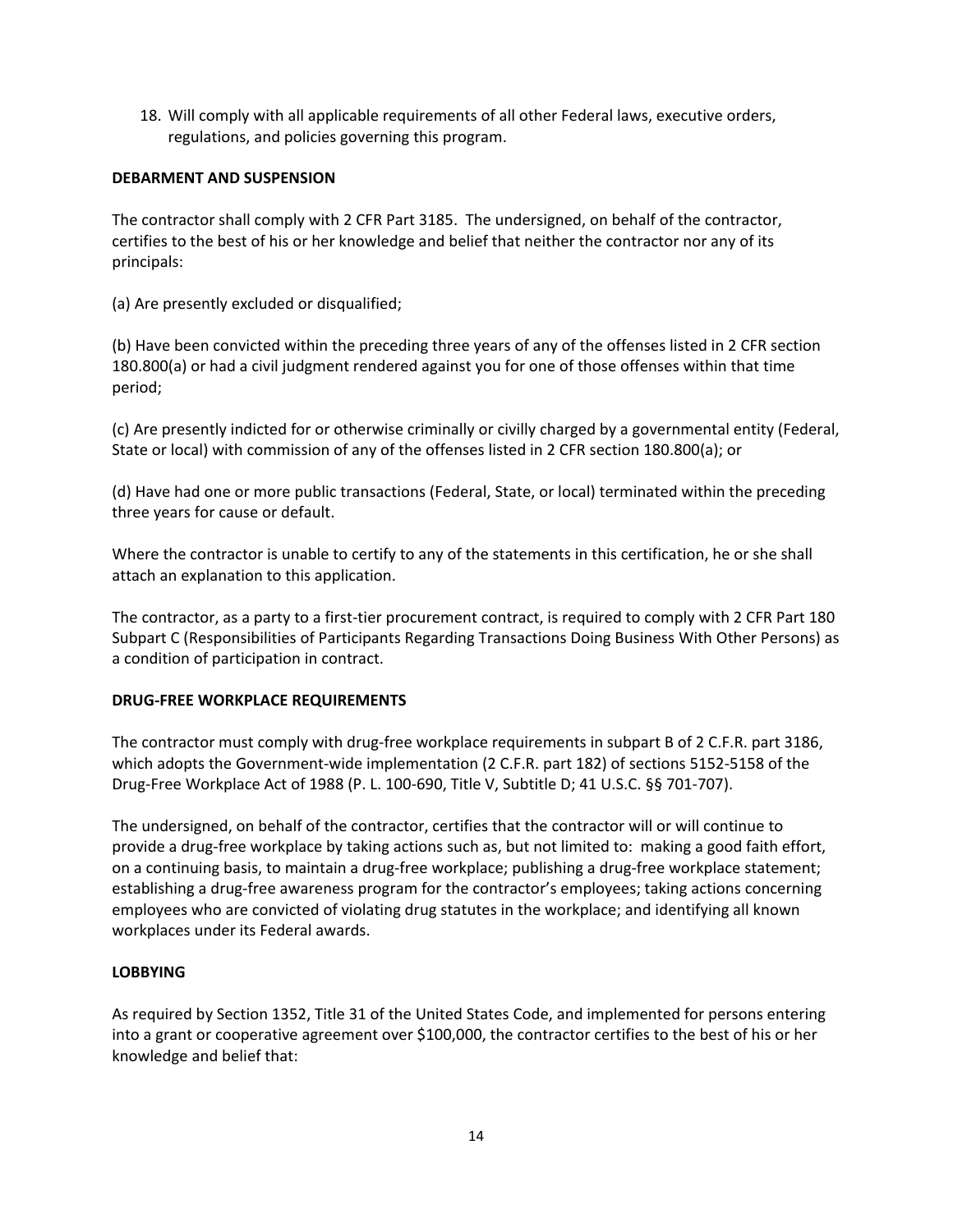18. Will comply with all applicable requirements of all other Federal laws, executive orders, regulations, and policies governing this program.

#### **DEBARMENT AND SUSPENSION**

The contractor shall comply with 2 CFR Part 3185. The undersigned, on behalf of the contractor, certifies to the best of his or her knowledge and belief that neither the contractor nor any of its principals:

(a) Are presently excluded or disqualified;

(b) Have been convicted within the preceding three years of any of the offenses listed in 2 CFR section 180.800(a) or had a civil judgment rendered against you for one of those offenses within that time period;

(c) Are presently indicted for or otherwise criminally or civilly charged by a governmental entity (Federal, State or local) with commission of any of the offenses listed in 2 CFR section 180.800(a); or

(d) Have had one or more public transactions (Federal, State, or local) terminated within the preceding three years for cause or default.

Where the contractor is unable to certify to any of the statements in this certification, he or she shall attach an explanation to this application.

The contractor, as a party to a first-tier procurement contract, is required to comply with 2 CFR Part 180 Subpart C (Responsibilities of Participants Regarding Transactions Doing Business With Other Persons) as a condition of participation in contract.

#### **DRUG-FREE WORKPLACE REQUIREMENTS**

The contractor must comply with drug-free workplace requirements in subpart B of 2 C.F.R. part 3186, which adopts the Government-wide implementation (2 C.F.R. part 182) of sections 5152-5158 of the Drug-Free Workplace Act of 1988 (P. L. 100-690, Title V, Subtitle D; 41 U.S.C. §§ 701-707).

The undersigned, on behalf of the contractor, certifies that the contractor will or will continue to provide a drug-free workplace by taking actions such as, but not limited to: making a good faith effort, on a continuing basis, to maintain a drug-free workplace; publishing a drug-free workplace statement; establishing a drug-free awareness program for the contractor's employees; taking actions concerning employees who are convicted of violating drug statutes in the workplace; and identifying all known workplaces under its Federal awards.

#### **LOBBYING**

As required by Section 1352, Title 31 of the United States Code, and implemented for persons entering into a grant or cooperative agreement over \$100,000, the contractor certifies to the best of his or her knowledge and belief that: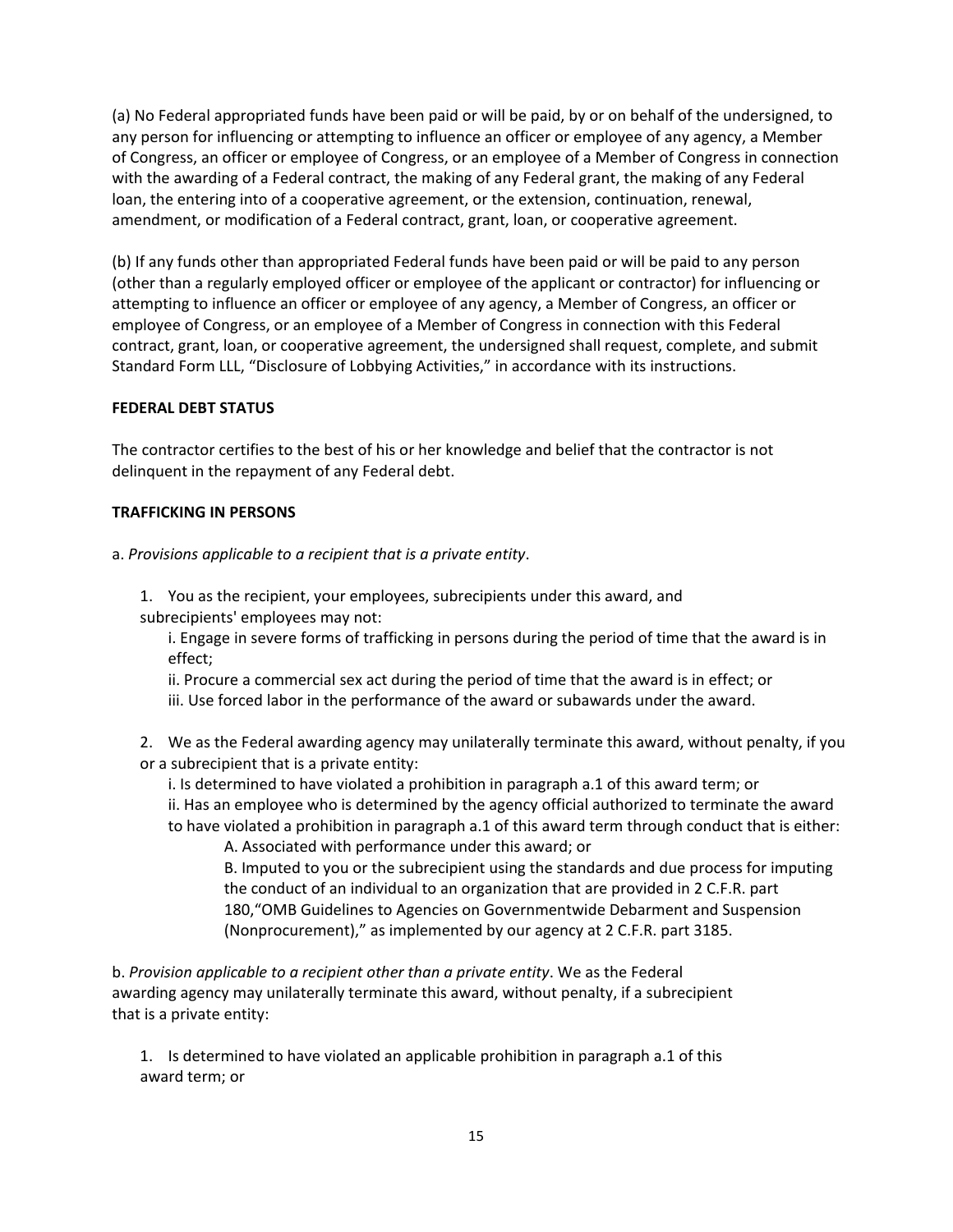(a) No Federal appropriated funds have been paid or will be paid, by or on behalf of the undersigned, to any person for influencing or attempting to influence an officer or employee of any agency, a Member of Congress, an officer or employee of Congress, or an employee of a Member of Congress in connection with the awarding of a Federal contract, the making of any Federal grant, the making of any Federal loan, the entering into of a cooperative agreement, or the extension, continuation, renewal, amendment, or modification of a Federal contract, grant, loan, or cooperative agreement.

(b) If any funds other than appropriated Federal funds have been paid or will be paid to any person (other than a regularly employed officer or employee of the applicant or contractor) for influencing or attempting to influence an officer or employee of any agency, a Member of Congress, an officer or employee of Congress, or an employee of a Member of Congress in connection with this Federal contract, grant, loan, or cooperative agreement, the undersigned shall request, complete, and submit Standard Form LLL, "Disclosure of Lobbying Activities," in accordance with its instructions.

#### **FEDERAL DEBT STATUS**

The contractor certifies to the best of his or her knowledge and belief that the contractor is not delinquent in the repayment of any Federal debt.

#### **TRAFFICKING IN PERSONS**

a. *Provisions applicable to a recipient that is a private entity*.

1. You as the recipient, your employees, subrecipients under this award, and subrecipients' employees may not:

i. Engage in severe forms of trafficking in persons during the period of time that the award is in effect;

ii. Procure a commercial sex act during the period of time that the award is in effect; or iii. Use forced labor in the performance of the award or subawards under the award.

2. We as the Federal awarding agency may unilaterally terminate this award, without penalty, if you or a subrecipient that is a private entity:

- i. Is determined to have violated a prohibition in paragraph a.1 of this award term; or
- ii. Has an employee who is determined by the agency official authorized to terminate the award
- to have violated a prohibition in paragraph a.1 of this award term through conduct that is either: A. Associated with performance under this award; or

B. Imputed to you or the subrecipient using the standards and due process for imputing the conduct of an individual to an organization that are provided in 2 C.F.R. part 180,"OMB Guidelines to Agencies on Governmentwide Debarment and Suspension (Nonprocurement)," as implemented by our agency at 2 C.F.R. part 3185.

b. *Provision applicable to a recipient other than a private entity*. We as the Federal awarding agency may unilaterally terminate this award, without penalty, if a subrecipient that is a private entity:

1. Is determined to have violated an applicable prohibition in paragraph a.1 of this award term; or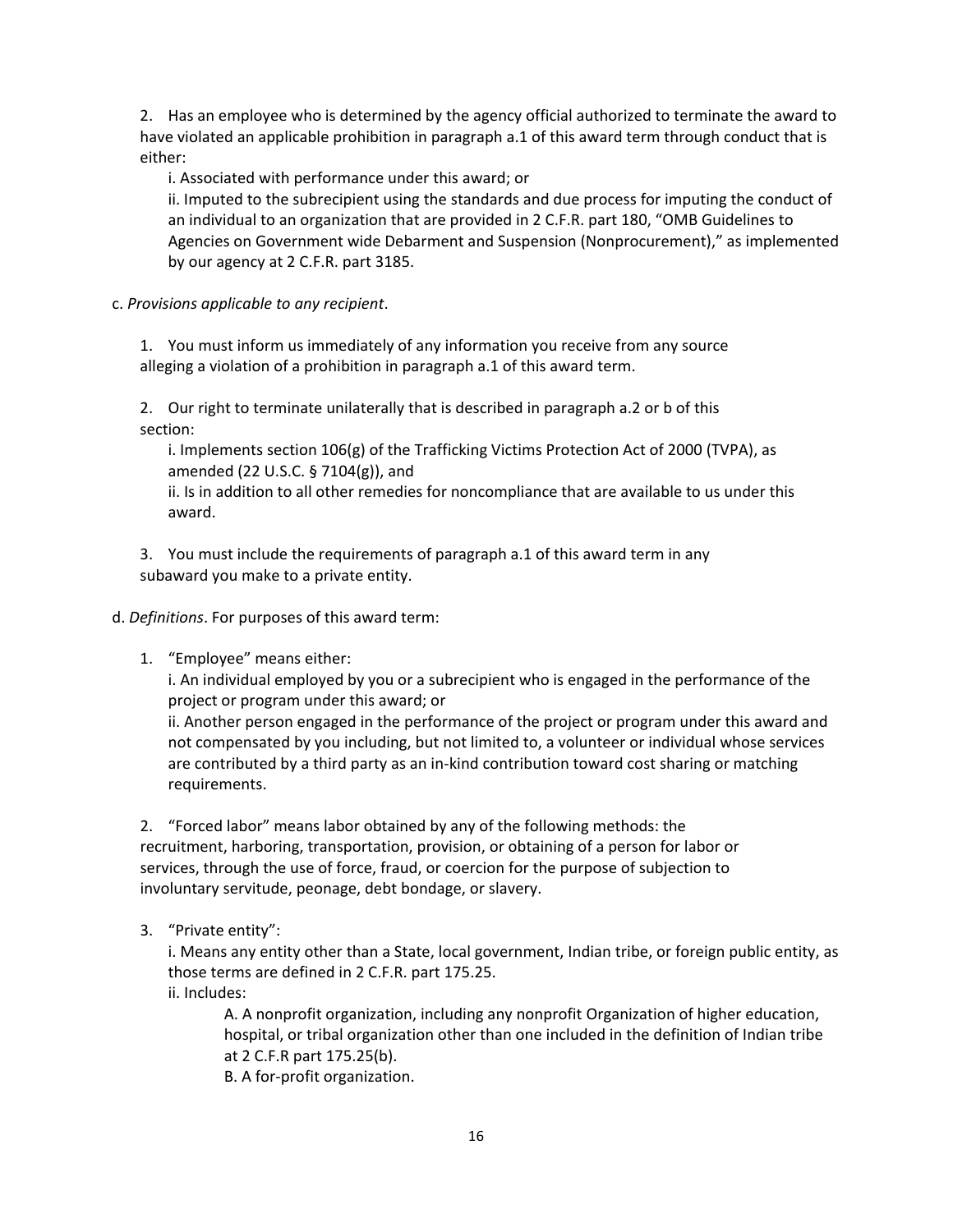2. Has an employee who is determined by the agency official authorized to terminate the award to have violated an applicable prohibition in paragraph a.1 of this award term through conduct that is either:

i. Associated with performance under this award; or

ii. Imputed to the subrecipient using the standards and due process for imputing the conduct of an individual to an organization that are provided in 2 C.F.R. part 180, "OMB Guidelines to Agencies on Government wide Debarment and Suspension (Nonprocurement)," as implemented by our agency at 2 C.F.R. part 3185.

c. *Provisions applicable to any recipient*.

1. You must inform us immediately of any information you receive from any source alleging a violation of a prohibition in paragraph a.1 of this award term.

2. Our right to terminate unilaterally that is described in paragraph a.2 or b of this section:

i. Implements section 106(g) of the Trafficking Victims Protection Act of 2000 (TVPA), as amended (22 U.S.C. § 7104(g)), and

ii. Is in addition to all other remedies for noncompliance that are available to us under this award.

3. You must include the requirements of paragraph a.1 of this award term in any subaward you make to a private entity.

d. *Definitions*. For purposes of this award term:

1. "Employee" means either:

i. An individual employed by you or a subrecipient who is engaged in the performance of the project or program under this award; or

ii. Another person engaged in the performance of the project or program under this award and not compensated by you including, but not limited to, a volunteer or individual whose services are contributed by a third party as an in-kind contribution toward cost sharing or matching requirements.

2. "Forced labor" means labor obtained by any of the following methods: the recruitment, harboring, transportation, provision, or obtaining of a person for labor or services, through the use of force, fraud, or coercion for the purpose of subjection to involuntary servitude, peonage, debt bondage, or slavery.

3. "Private entity":

i. Means any entity other than a State, local government, Indian tribe, or foreign public entity, as those terms are defined in 2 C.F.R. part 175.25.

ii. Includes:

A. A nonprofit organization, including any nonprofit Organization of higher education, hospital, or tribal organization other than one included in the definition of Indian tribe at 2 C.F.R part 175.25(b).

B. A for-profit organization.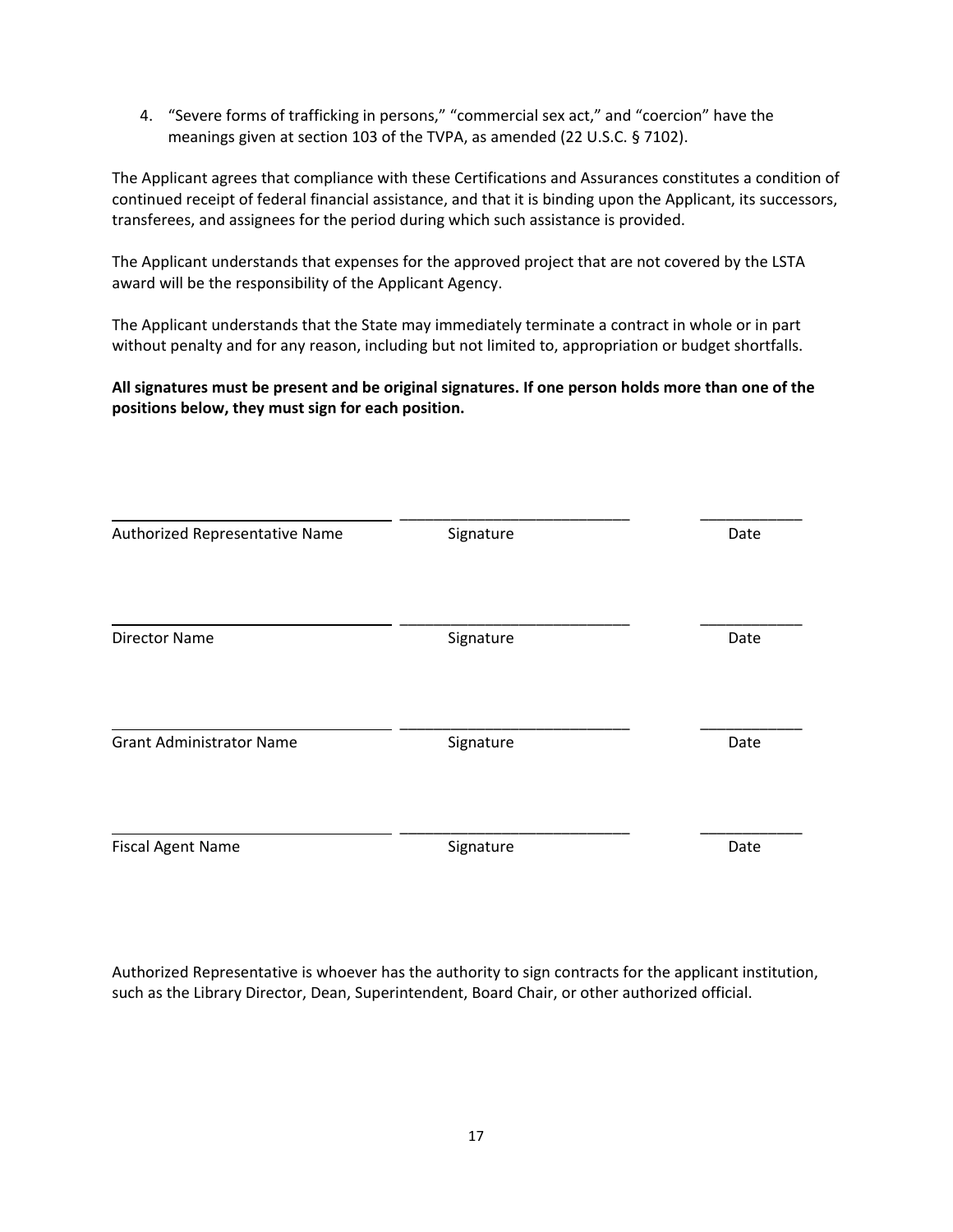4. "Severe forms of trafficking in persons," "commercial sex act," and "coercion" have the meanings given at section 103 of the TVPA, as amended (22 U.S.C. § 7102).

The Applicant agrees that compliance with these Certifications and Assurances constitutes a condition of continued receipt of federal financial assistance, and that it is binding upon the Applicant, its successors, transferees, and assignees for the period during which such assistance is provided.

The Applicant understands that expenses for the approved project that are not covered by the LSTA award will be the responsibility of the Applicant Agency.

The Applicant understands that the State may immediately terminate a contract in whole or in part without penalty and for any reason, including but not limited to, appropriation or budget shortfalls.

**All signatures must be present and be original signatures. If one person holds more than one of the positions below, they must sign for each position.** 

| Authorized Representative Name  | Signature | Date |
|---------------------------------|-----------|------|
| <b>Director Name</b>            | Signature | Date |
| <b>Grant Administrator Name</b> | Signature | Date |
| <b>Fiscal Agent Name</b>        | Signature | Date |

Authorized Representative is whoever has the authority to sign contracts for the applicant institution, such as the Library Director, Dean, Superintendent, Board Chair, or other authorized official.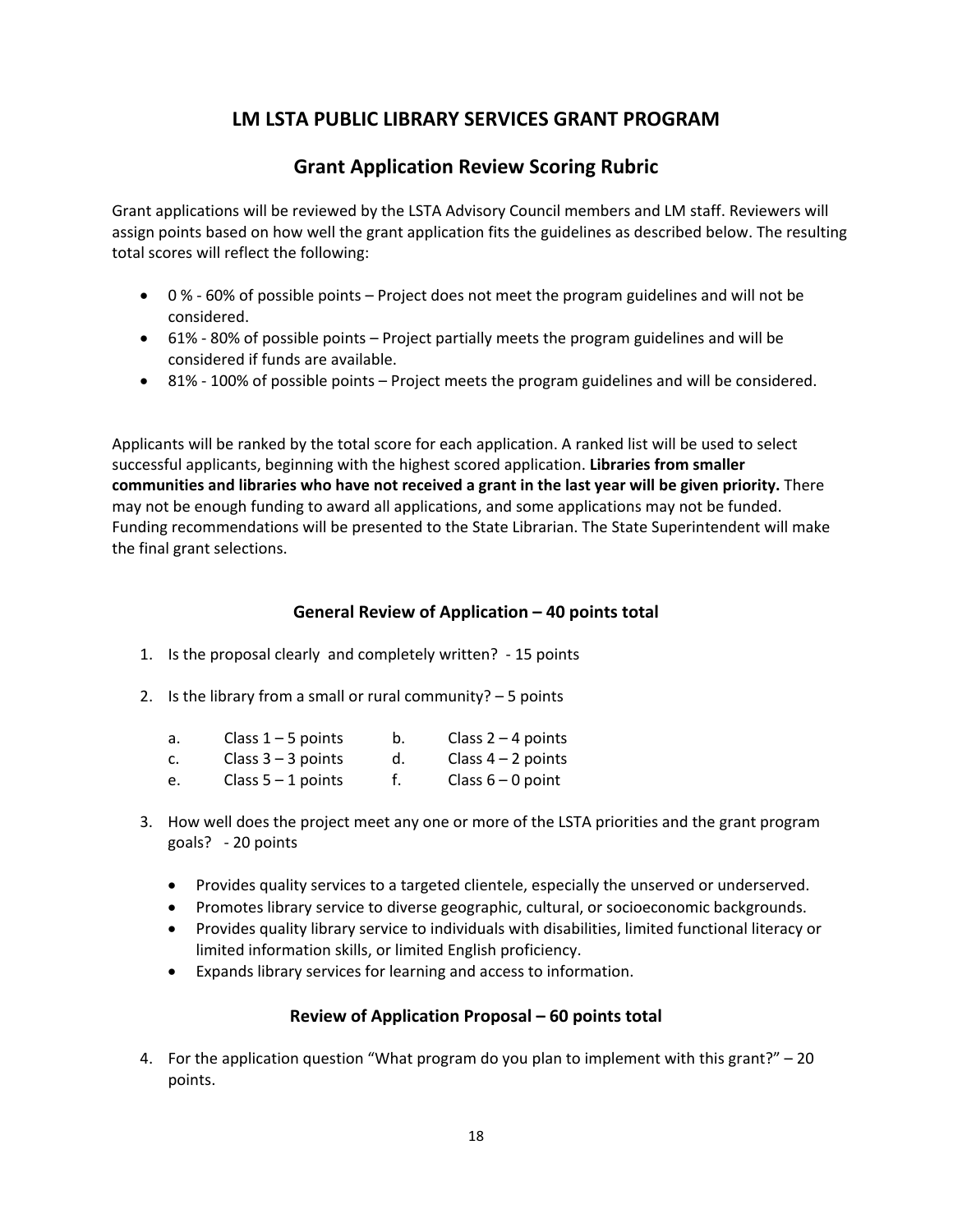## **LM LSTA PUBLIC LIBRARY SERVICES GRANT PROGRAM**

## **Grant Application Review Scoring Rubric**

Grant applications will be reviewed by the LSTA Advisory Council members and LM staff. Reviewers will assign points based on how well the grant application fits the guidelines as described below. The resulting total scores will reflect the following:

- 0 % 60% of possible points Project does not meet the program guidelines and will not be considered.
- 61% 80% of possible points Project partially meets the program guidelines and will be considered if funds are available.
- 81% 100% of possible points Project meets the program guidelines and will be considered.

Applicants will be ranked by the total score for each application. A ranked list will be used to select successful applicants, beginning with the highest scored application. **Libraries from smaller communities and libraries who have not received a grant in the last year will be given priority.** There may not be enough funding to award all applications, and some applications may not be funded. Funding recommendations will be presented to the State Librarian. The State Superintendent will make the final grant selections.

#### **General Review of Application – 40 points total**

- 1. Is the proposal clearly and completely written? 15 points
- 2. Is the library from a small or rural community? 5 points

| а. | Class $1 - 5$ points | Class $2 - 4$ points |
|----|----------------------|----------------------|
| c. | Class $3 - 3$ points | Class $4 - 2$ points |

- e. Class 5 1 points f. Class 6 0 point
- 3. How well does the project meet any one or more of the LSTA priorities and the grant program goals? - 20 points
	- Provides quality services to a targeted clientele, especially the unserved or underserved.
	- Promotes library service to diverse geographic, cultural, or socioeconomic backgrounds.
	- Provides quality library service to individuals with disabilities, limited functional literacy or limited information skills, or limited English proficiency.
	- Expands library services for learning and access to information.

#### **Review of Application Proposal – 60 points total**

4. For the application question "What program do you plan to implement with this grant?" – 20 points.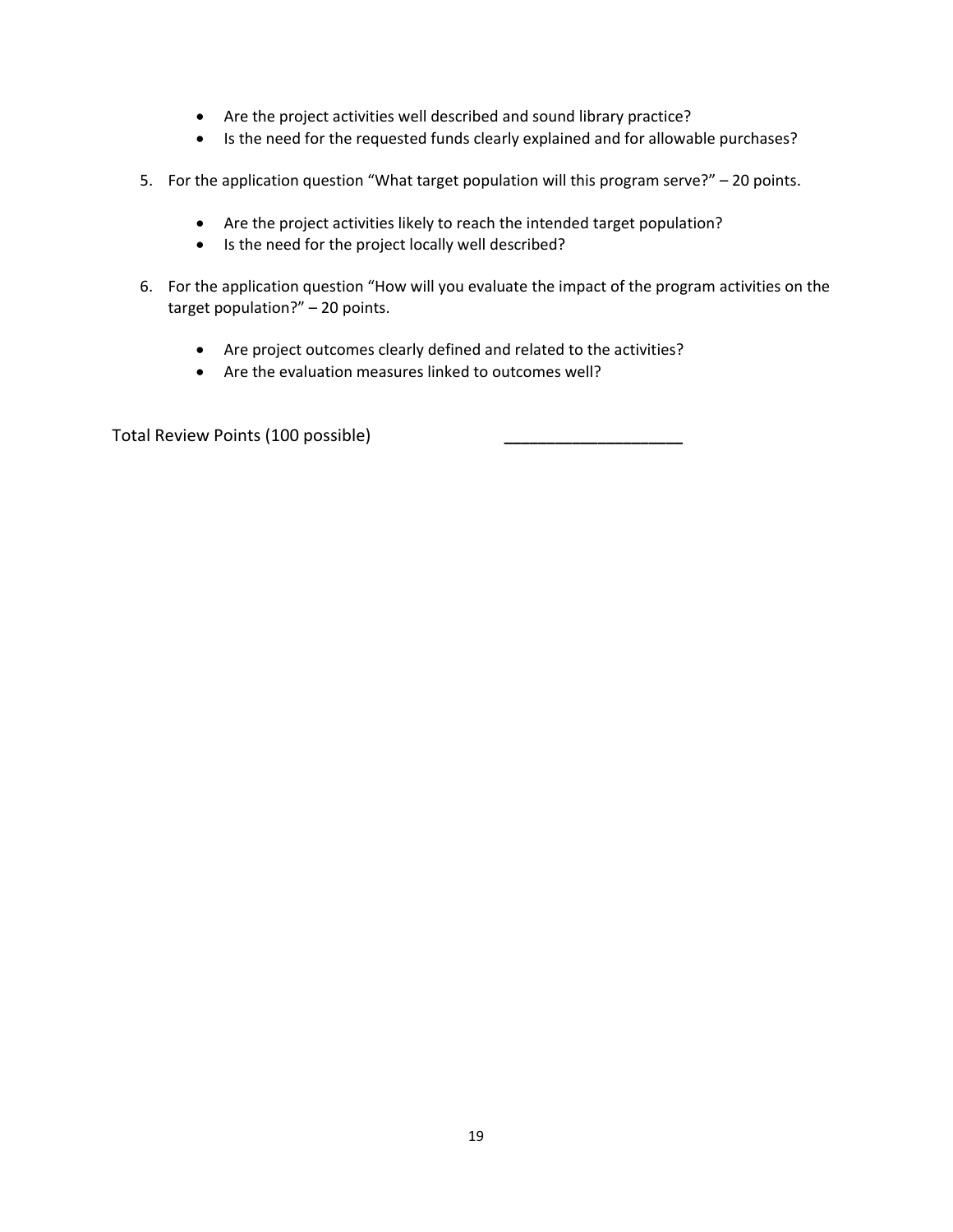- Are the project activities well described and sound library practice?
- Is the need for the requested funds clearly explained and for allowable purchases?
- 5. For the application question "What target population will this program serve?" 20 points.
	- Are the project activities likely to reach the intended target population?
	- Is the need for the project locally well described?
- 6. For the application question "How will you evaluate the impact of the program activities on the target population?" – 20 points.
	- Are project outcomes clearly defined and related to the activities?
	- Are the evaluation measures linked to outcomes well?

Total Review Points (100 possible) **\_\_\_\_\_\_\_\_\_\_\_\_\_\_\_\_\_\_\_\_\_**